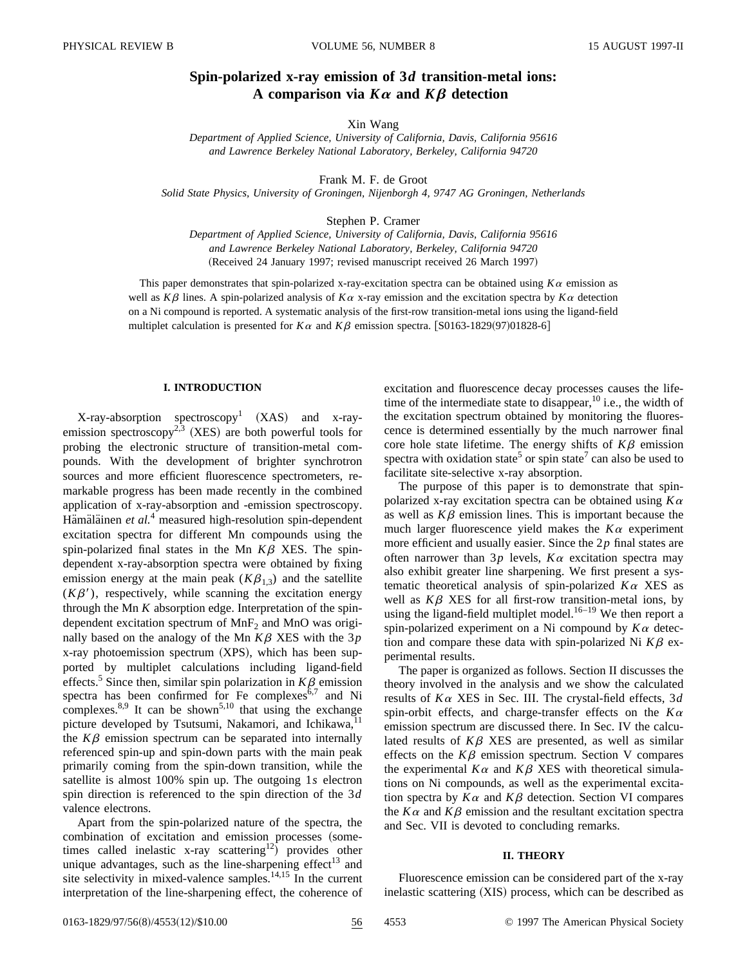# **Spin-polarized x-ray emission of 3***d* **transition-metal ions:** A comparison via  $K\alpha$  and  $K\beta$  detection

Xin Wang

*Department of Applied Science, University of California, Davis, California 95616 and Lawrence Berkeley National Laboratory, Berkeley, California 94720*

Frank M. F. de Groot

*Solid State Physics, University of Groningen, Nijenborgh 4, 9747 AG Groningen, Netherlands*

Stephen P. Cramer

*Department of Applied Science, University of California, Davis, California 95616 and Lawrence Berkeley National Laboratory, Berkeley, California 94720* (Received 24 January 1997; revised manuscript received 26 March 1997)

This paper demonstrates that spin-polarized x-ray-excitation spectra can be obtained using  $K\alpha$  emission as well as  $K\beta$  lines. A spin-polarized analysis of  $K\alpha$  x-ray emission and the excitation spectra by  $K\alpha$  detection on a Ni compound is reported. A systematic analysis of the first-row transition-metal ions using the ligand-field multiplet calculation is presented for  $K\alpha$  and  $K\beta$  emission spectra. [S0163-1829(97)01828-6]

# **I. INTRODUCTION**

 $X$ -ray-absorption spectroscopy<sup>1</sup> (XAS) and x-rayemission spectroscopy<sup>2,3</sup> (XES) are both powerful tools for probing the electronic structure of transition-metal compounds. With the development of brighter synchrotron sources and more efficient fluorescence spectrometers, remarkable progress has been made recently in the combined application of x-ray-absorption and -emission spectroscopy. Hämäläinen et al.<sup>4</sup> measured high-resolution spin-dependent excitation spectra for different Mn compounds using the spin-polarized final states in the Mn  $K\beta$  XES. The spindependent x-ray-absorption spectra were obtained by fixing emission energy at the main peak  $(K\beta_{1,3})$  and the satellite  $(K\beta')$ , respectively, while scanning the excitation energy through the Mn *K* absorption edge. Interpretation of the spindependent excitation spectrum of  $MnF_2$  and  $MnO$  was originally based on the analogy of the Mn  $K\beta$  XES with the 3 $p$  $x$ -ray photoemission spectrum  $(XPS)$ , which has been supported by multiplet calculations including ligand-field effects.<sup>5</sup> Since then, similar spin polarization in  $K\beta$  emission spectra has been confirmed for Fe complexes $6,7$  and Ni complexes.<sup>8,9</sup> It can be shown<sup>5,10</sup> that using the exchange picture developed by Tsutsumi, Nakamori, and Ichikawa,<sup>11</sup> the  $K\beta$  emission spectrum can be separated into internally referenced spin-up and spin-down parts with the main peak primarily coming from the spin-down transition, while the satellite is almost 100% spin up. The outgoing 1*s* electron spin direction is referenced to the spin direction of the 3*d* valence electrons.

Apart from the spin-polarized nature of the spectra, the combination of excitation and emission processes (sometimes called inelastic x-ray scattering<sup>12</sup>) provides other unique advantages, such as the line-sharpening effect<sup>13</sup> and site selectivity in mixed-valence samples.<sup>14,15</sup> In the current interpretation of the line-sharpening effect, the coherence of excitation and fluorescence decay processes causes the lifetime of the intermediate state to disappear,  $^{10}$  i.e., the width of the excitation spectrum obtained by monitoring the fluorescence is determined essentially by the much narrower final core hole state lifetime. The energy shifts of  $K\beta$  emission spectra with oxidation state<sup>5</sup> or spin state<sup>7</sup> can also be used to facilitate site-selective x-ray absorption.

The purpose of this paper is to demonstrate that spinpolarized x-ray excitation spectra can be obtained using  $K\alpha$ as well as  $K\beta$  emission lines. This is important because the much larger fluorescence yield makes the  $K\alpha$  experiment more efficient and usually easier. Since the 2*p* final states are often narrower than  $3p$  levels,  $K\alpha$  excitation spectra may also exhibit greater line sharpening. We first present a systematic theoretical analysis of spin-polarized  $K\alpha$  XES as well as  $K\beta$  XES for all first-row transition-metal ions, by using the ligand-field multiplet model.<sup>16–19</sup> We then report a spin-polarized experiment on a Ni compound by  $K\alpha$  detection and compare these data with spin-polarized Ni  $K\beta$  experimental results.

The paper is organized as follows. Section II discusses the theory involved in the analysis and we show the calculated results of *K*<sup>a</sup> XES in Sec. III. The crystal-field effects, 3*d* spin-orbit effects, and charge-transfer effects on the  $K\alpha$ emission spectrum are discussed there. In Sec. IV the calculated results of  $K\beta$  XES are presented, as well as similar effects on the  $K\beta$  emission spectrum. Section V compares the experimental  $K\alpha$  and  $K\beta$  XES with theoretical simulations on Ni compounds, as well as the experimental excitation spectra by  $K\alpha$  and  $K\beta$  detection. Section VI compares the  $K\alpha$  and  $K\beta$  emission and the resultant excitation spectra and Sec. VII is devoted to concluding remarks.

#### **II. THEORY**

Fluorescence emission can be considered part of the x-ray inelastic scattering (XIS) process, which can be described as

0163-1829/97/56(8)/4553(12)/\$10.00 56 4553 © 1997 The American Physical Society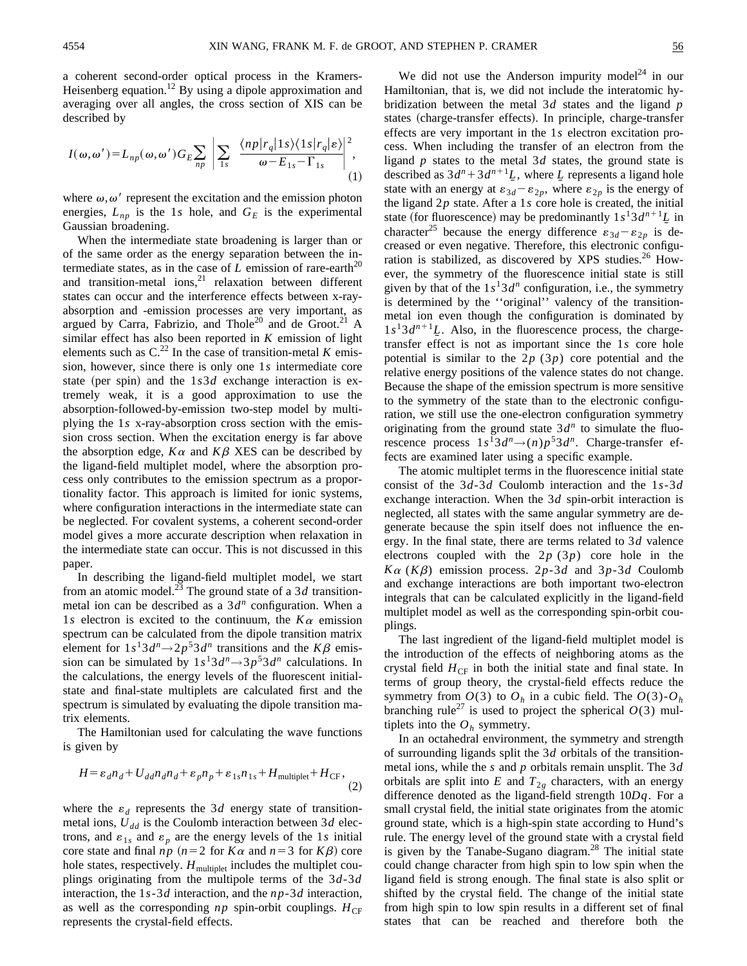a coherent second-order optical process in the Kramers-Heisenberg equation.<sup>12</sup> By using a dipole approximation and averaging over all angles, the cross section of XIS can be described by

$$
I(\omega,\omega') = L_{np}(\omega,\omega')G_E \sum_{np} \left| \sum_{1s} \left| \frac{\langle np | r_q | 1s \rangle \langle 1s | r_q | \epsilon \rangle}{\omega - E_{1s} - \Gamma_{1s}} \right|^2, \right|
$$
(1)

where  $\omega, \omega'$  represent the excitation and the emission photon energies,  $L_{np}$  is the 1*s* hole, and  $G_E$  is the experimental Gaussian broadening.

When the intermediate state broadening is larger than or of the same order as the energy separation between the intermediate states, as in the case of  $L$  emission of rare-earth<sup>20</sup> and transition-metal ions, $21$  relaxation between different states can occur and the interference effects between x-rayabsorption and -emission processes are very important, as argued by Carra, Fabrizio, and Thole<sup>20</sup> and de Groot.<sup>21</sup> A similar effect has also been reported in *K* emission of light elements such as  $C^{22}$  In the case of transition-metal *K* emission, however, since there is only one 1*s* intermediate core state (per spin) and the  $1s3d$  exchange interaction is extremely weak, it is a good approximation to use the absorption-followed-by-emission two-step model by multiplying the 1*s* x-ray-absorption cross section with the emission cross section. When the excitation energy is far above the absorption edge,  $K\alpha$  and  $K\beta$  XES can be described by the ligand-field multiplet model, where the absorption process only contributes to the emission spectrum as a proportionality factor. This approach is limited for ionic systems, where configuration interactions in the intermediate state can be neglected. For covalent systems, a coherent second-order model gives a more accurate description when relaxation in the intermediate state can occur. This is not discussed in this paper.

In describing the ligand-field multiplet model, we start from an atomic model.<sup>23</sup> The ground state of a 3*d* transitionmetal ion can be described as a  $3d^n$  configuration. When a 1*s* electron is excited to the continuum, the  $K\alpha$  emission spectrum can be calculated from the dipole transition matrix element for  $1s^13d^n \rightarrow 2p^53d^n$  transitions and the  $K\beta$  emission can be simulated by  $1s^13d^n \rightarrow 3p^53d^n$  calculations. In the calculations, the energy levels of the fluorescent initialstate and final-state multiplets are calculated first and the spectrum is simulated by evaluating the dipole transition matrix elements.

The Hamiltonian used for calculating the wave functions is given by

$$
H = \varepsilon_d n_d + U_{dd} n_d n_d + \varepsilon_p n_p + \varepsilon_{1s} n_{1s} + H_{\text{multiplet}} + H_{\text{CF}},
$$
\n(2)

where the  $\varepsilon_d$  represents the 3*d* energy state of transitionmetal ions,  $U_{dd}$  is the Coulomb interaction between 3*d* electrons, and  $\varepsilon_{1s}$  and  $\varepsilon_p$  are the energy levels of the 1*s* initial core state and final  $np (n=2 \text{ for } K\alpha \text{ and } n=3 \text{ for } K\beta)$  core hole states, respectively.  $H_{\text{multiplet}}$  includes the multiplet couplings originating from the multipole terms of the 3*d*-3*d* interaction, the 1*s*-3*d* interaction, and the *np*-3*d* interaction, as well as the corresponding  $np$  spin-orbit couplings.  $H_{CF}$ represents the crystal-field effects.

We did not use the Anderson impurity model<sup>24</sup> in our Hamiltonian, that is, we did not include the interatomic hybridization between the metal 3*d* states and the ligand *p* states (charge-transfer effects). In principle, charge-transfer effects are very important in the 1*s* electron excitation process. When including the transfer of an electron from the ligand *p* states to the metal 3*d* states, the ground state is described as  $3d^n + 3d^{n+1}L$ , where *L* represents a ligand hole state with an energy at  $\varepsilon_{3d} - \varepsilon_{2p}$ , where  $\varepsilon_{2p}$  is the energy of the ligand  $2p$  state. After a 1*s* core hole is created, the initial state (for fluorescence) may be predominantly  $1s^13d^{n+1}L$  in character<sup>25</sup> because the energy difference  $\varepsilon_{3d} - \varepsilon_{2p}$  is decreased or even negative. Therefore, this electronic configuration is stabilized, as discovered by XPS studies.<sup>26</sup> However, the symmetry of the fluorescence initial state is still given by that of the  $1s<sup>1</sup>3d<sup>n</sup>$  configuration, i.e., the symmetry is determined by the ''original'' valency of the transitionmetal ion even though the configuration is dominated by  $1s^13d^{n+1}L$ . Also, in the fluorescence process, the chargetransfer effect is not as important since the 1*s* core hole potential is similar to the 2*p* (3*p*) core potential and the relative energy positions of the valence states do not change. Because the shape of the emission spectrum is more sensitive to the symmetry of the state than to the electronic configuration, we still use the one-electron configuration symmetry originating from the ground state  $3d^n$  to simulate the fluorescence process  $1s^13d^n \rightarrow (n)p^53d^n$ . Charge-transfer effects are examined later using a specific example.

The atomic multiplet terms in the fluorescence initial state consist of the 3*d*-3*d* Coulomb interaction and the 1*s*-3*d* exchange interaction. When the 3*d* spin-orbit interaction is neglected, all states with the same angular symmetry are degenerate because the spin itself does not influence the energy. In the final state, there are terms related to 3*d* valence electrons coupled with the 2*p* (3*p*) core hole in the  $K\alpha$  (*K* $\beta$ ) emission process. 2*p*-3*d* and 3*p*-3*d* Coulomb and exchange interactions are both important two-electron integrals that can be calculated explicitly in the ligand-field multiplet model as well as the corresponding spin-orbit couplings.

The last ingredient of the ligand-field multiplet model is the introduction of the effects of neighboring atoms as the crystal field  $H_{CF}$  in both the initial state and final state. In terms of group theory, the crystal-field effects reduce the symmetry from  $O(3)$  to  $O_h$  in a cubic field. The  $O(3)$ - $O_h$ branching rule<sup>27</sup> is used to project the spherical  $O(3)$  multiplets into the  $O_h$  symmetry.

In an octahedral environment, the symmetry and strength of surrounding ligands split the 3*d* orbitals of the transitionmetal ions, while the *s* and *p* orbitals remain unsplit. The 3*d* orbitals are split into  $E$  and  $T_{2g}$  characters, with an energy difference denoted as the ligand-field strength 10*Dq*. For a small crystal field, the initial state originates from the atomic ground state, which is a high-spin state according to Hund's rule. The energy level of the ground state with a crystal field is given by the Tanabe-Sugano diagram. $28$  The initial state could change character from high spin to low spin when the ligand field is strong enough. The final state is also split or shifted by the crystal field. The change of the initial state from high spin to low spin results in a different set of final states that can be reached and therefore both the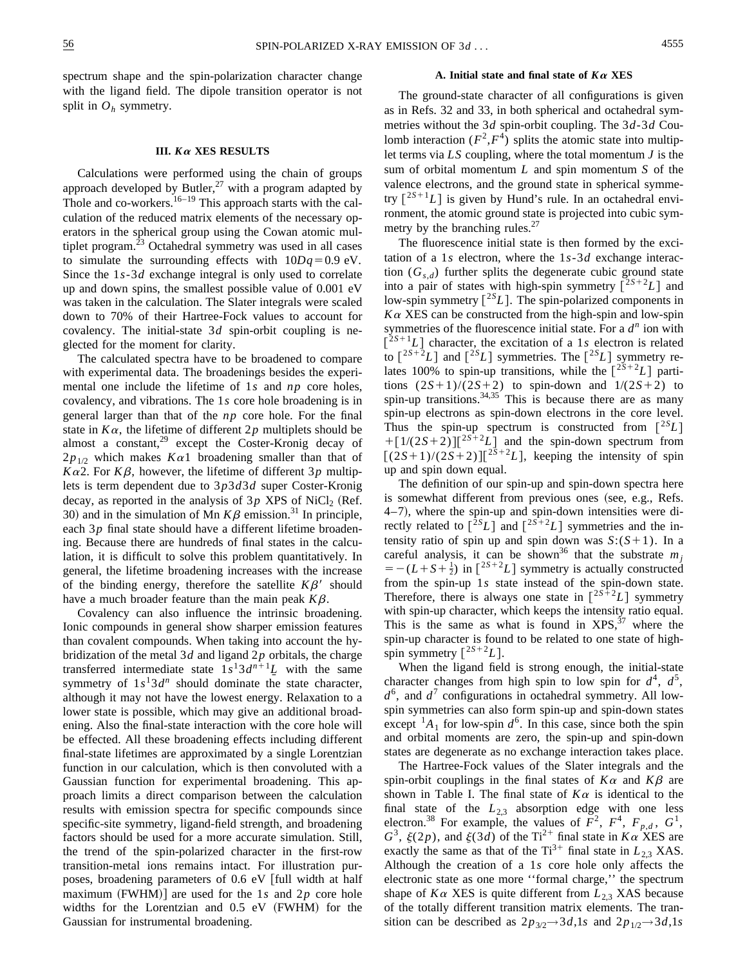spectrum shape and the spin-polarization character change with the ligand field. The dipole transition operator is not split in  $O_h$  symmetry.

#### **III.** *K*<sup>a</sup> **XES RESULTS**

Calculations were performed using the chain of groups approach developed by Butler,<sup>27</sup> with a program adapted by Thole and co-workers.<sup>16–19</sup> This approach starts with the calculation of the reduced matrix elements of the necessary operators in the spherical group using the Cowan atomic multiplet program.<sup>23</sup> Octahedral symmetry was used in all cases to simulate the surrounding effects with  $10Dq = 0.9$  eV. Since the 1*s*-3*d* exchange integral is only used to correlate up and down spins, the smallest possible value of 0.001 eV was taken in the calculation. The Slater integrals were scaled down to 70% of their Hartree-Fock values to account for covalency. The initial-state 3*d* spin-orbit coupling is neglected for the moment for clarity.

The calculated spectra have to be broadened to compare with experimental data. The broadenings besides the experimental one include the lifetime of 1*s* and *np* core holes, covalency, and vibrations. The 1*s* core hole broadening is in general larger than that of the *np* core hole. For the final state in  $K\alpha$ , the lifetime of different  $2p$  multiplets should be almost a constant, $29$  except the Coster-Kronig decay of  $2p_{1/2}$  which makes  $K\alpha 1$  broadening smaller than that of  $K\alpha$ 2. For  $K\beta$ , however, the lifetime of different 3*p* multiplets is term dependent due to 3*p*3*d*3*d* super Coster-Kronig decay, as reported in the analysis of  $3p$  XPS of NiCl<sub>2</sub> (Ref. 30) and in the simulation of Mn  $K\beta$  emission.<sup>31</sup> In principle, each 3*p* final state should have a different lifetime broadening. Because there are hundreds of final states in the calculation, it is difficult to solve this problem quantitatively. In general, the lifetime broadening increases with the increase of the binding energy, therefore the satellite  $K\beta'$  should have a much broader feature than the main peak  $K\beta$ .

Covalency can also influence the intrinsic broadening. Ionic compounds in general show sharper emission features than covalent compounds. When taking into account the hybridization of the metal 3*d* and ligand 2*p* orbitals, the charge transferred intermediate state  $1s^13d^{n+1}$ *L* with the same symmetry of  $1s<sup>1</sup>3d<sup>n</sup>$  should dominate the state character, although it may not have the lowest energy. Relaxation to a lower state is possible, which may give an additional broadening. Also the final-state interaction with the core hole will be effected. All these broadening effects including different final-state lifetimes are approximated by a single Lorentzian function in our calculation, which is then convoluted with a Gaussian function for experimental broadening. This approach limits a direct comparison between the calculation results with emission spectra for specific compounds since specific-site symmetry, ligand-field strength, and broadening factors should be used for a more accurate simulation. Still, the trend of the spin-polarized character in the first-row transition-metal ions remains intact. For illustration purposes, broadening parameters of 0.6 eV [full width at half maximum (FWHM)] are used for the 1*s* and 2*p* core hole widths for the Lorentzian and  $0.5$  eV (FWHM) for the Gaussian for instrumental broadening.

#### **A. Initial state and final state of** *K*<sup>a</sup> **XES**

The ground-state character of all configurations is given as in Refs. 32 and 33, in both spherical and octahedral symmetries without the 3*d* spin-orbit coupling. The 3*d*-3*d* Coulomb interaction  $(F^2, F^4)$  splits the atomic state into multiplet terms via *LS* coupling, where the total momentum *J* is the sum of orbital momentum *L* and spin momentum *S* of the valence electrons, and the ground state in spherical symmetry  $\left[2S+1_L\right]$  is given by Hund's rule. In an octahedral environment, the atomic ground state is projected into cubic symmetry by the branching rules. $27$ 

The fluorescence initial state is then formed by the excitation of a 1*s* electron, where the 1*s*-3*d* exchange interaction  $(G_{s,d})$  further splits the degenerate cubic ground state into a pair of states with high-spin symmetry  $[2S+2L]$  and low-spin symmetry  $\lceil {}^{2S}L \rceil$ . The spin-polarized components in  $K\alpha$  XES can be constructed from the high-spin and low-spin symmetries of the fluorescence initial state. For a *d<sup>n</sup>* ion with  $\left[\begin{matrix} 2s+1 \end{matrix} \right]$  character, the excitation of a 1*s* electron is related to  $\lceil 2S+2L \rceil$  and  $\lceil 2S\rfloor$  symmetries. The  $\lceil 2S\rfloor$  symmetry relates 100% to spin-up transitions, while the  $\int_0^{2S+2} L$  partitions  $(2S+1)/(2S+2)$  to spin-down and  $1/(2S+2)$  to spin-up transitions.  $34,35$  This is because there are as many spin-up electrons as spin-down electrons in the core level. Thus the spin-up spectrum is constructed from  $\lceil {}^{2S}L \rceil$  $+[1/(2S+2)][^{2S+2}L]$  and the spin-down spectrum from  $[(2S+1)/(2S+2)][^{2S+2}L]$ , keeping the intensity of spin up and spin down equal.

The definition of our spin-up and spin-down spectra here is somewhat different from previous ones (see, e.g., Refs.)  $4-7$ ), where the spin-up and spin-down intensities were directly related to  $\left[\begin{array}{c} 2sL \end{array}\right]$  and  $\left[\begin{array}{c} 2s+2L \end{array}\right]$  symmetries and the intensity ratio of spin up and spin down was  $S:(S+1)$ . In a careful analysis, it can be shown<sup>36</sup> that the substrate  $m_i$  $= -(L+S+\frac{1}{2})$  in  $\left[\begin{matrix} 2S+2 \end{matrix} L\right]$  symmetry is actually constructed from the spin-up 1*s* state instead of the spin-down state. Therefore, there is always one state in  $[2S+2L]$  symmetry with spin-up character, which keeps the intensity ratio equal. This is the same as what is found in  $XPS$ , where the spin-up character is found to be related to one state of highspin symmetry  $\lceil 2S+2L \rceil$ .

When the ligand field is strong enough, the initial-state character changes from high spin to low spin for  $d^4$ ,  $d^5$ ,  $d^6$ , and  $d^7$  configurations in octahedral symmetry. All lowspin symmetries can also form spin-up and spin-down states except  $^{1}A_{1}$  for low-spin  $d^{6}$ . In this case, since both the spin and orbital moments are zero, the spin-up and spin-down states are degenerate as no exchange interaction takes place.

The Hartree-Fock values of the Slater integrals and the spin-orbit couplings in the final states of  $K\alpha$  and  $K\beta$  are shown in Table I. The final state of  $K\alpha$  is identical to the final state of the  $L_{2,3}$  absorption edge with one less electron.<sup>38</sup> For example, the values of  $\overline{F}^2$ ,  $F^4$ ,  $F_{p,d}$ ,  $G^1$ ,  $G^3$ ,  $\xi(2p)$ , and  $\xi(3d)$  of the Ti<sup>2+</sup> final state in  $K\alpha$  XES are exactly the same as that of the  $Ti^{3+}$  final state in  $L_{2,3}$  XAS. Although the creation of a 1*s* core hole only affects the electronic state as one more ''formal charge,'' the spectrum shape of  $K\alpha$  XES is quite different from  $L_{2,3}$  XAS because of the totally different transition matrix elements. The transition can be described as  $2p_{3/2} \rightarrow 3d$ ,1*s* and  $2p_{1/2} \rightarrow 3d$ ,1*s*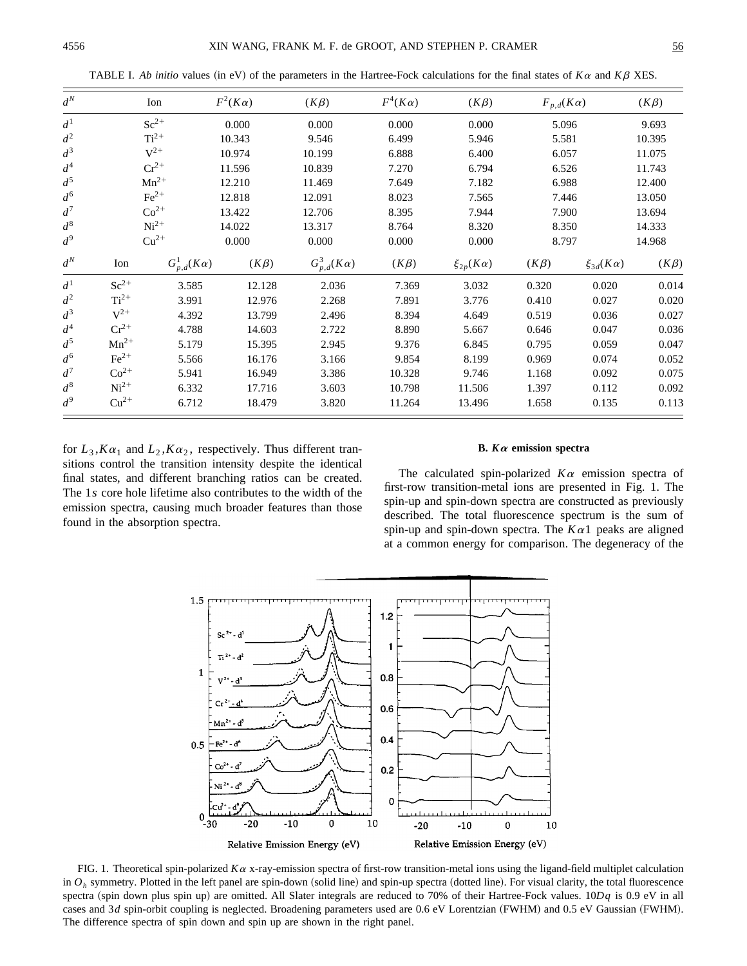| $d^N$ |                  | Ion                  | $F^2(K\alpha)$ | $(K\beta)$           | $F^4(K\alpha)$ | $(K\beta)$          | $F_{p,d}(K\alpha)$ |                     | $(K\beta)$ |
|-------|------------------|----------------------|----------------|----------------------|----------------|---------------------|--------------------|---------------------|------------|
| $d^1$ |                  | $Sc^{2+}$            | 0.000          | 0.000                | 0.000          | 0.000               | 5.096              |                     | 9.693      |
| $d^2$ |                  | $Ti2+$               | 10.343         | 9.546                | 6.499          | 5.946               | 5.581              |                     | 10.395     |
| $d^3$ |                  | $V^{2+}$             | 10.974         | 10.199               | 6.888          | 6.400               | 6.057              |                     | 11.075     |
| $d^4$ |                  | $Cr^{2+}$            | 11.596         | 10.839               | 7.270          | 6.794               | 6.526              |                     | 11.743     |
| $d^5$ |                  | $Mn^{2+}$            | 12.210         | 11.469               | 7.649          | 7.182               | 6.988              |                     | 12.400     |
| $d^6$ |                  | $\text{Fe}^{2+}$     | 12.818         | 12.091               | 8.023          | 7.565               | 7.446              |                     | 13.050     |
| $d^7$ |                  | $Co2+$               | 13.422         | 12.706               | 8.395          | 7.944               | 7.900              |                     | 13.694     |
| $d^8$ |                  | $Ni2+$               | 14.022         | 13.317               | 8.764          | 8.320               | 8.350              |                     | 14.333     |
| $d^9$ |                  | $Cu^{2+}$            | 0.000          | 0.000                | 0.000          | 0.000               | 8.797              |                     | 14.968     |
| $d^N$ | Ion              | $G_{n,d}^1(K\alpha)$ | $(K\beta)$     | $G_{p,d}^3(K\alpha)$ | $(K\beta)$     | $\xi_{2p}(K\alpha)$ | $(K\beta)$         | $\xi_{3d}(K\alpha)$ | $(K\beta)$ |
| $d^1$ | $Sc^{2+}$        | 3.585                | 12.128         | 2.036                | 7.369          | 3.032               | 0.320              | 0.020               | 0.014      |
| $d^2$ | $Ti2+$           | 3.991                | 12.976         | 2.268                | 7.891          | 3.776               | 0.410              | 0.027               | 0.020      |
| $d^3$ | $V^{2+}$         | 4.392                | 13.799         | 2.496                | 8.394          | 4.649               | 0.519              | 0.036               | 0.027      |
| $d^4$ | $Cr^{2+}$        | 4.788                | 14.603         | 2.722                | 8.890          | 5.667               | 0.646              | 0.047               | 0.036      |
| $d^5$ | $Mn^{2+}$        | 5.179                | 15.395         | 2.945                | 9.376          | 6.845               | 0.795              | 0.059               | 0.047      |
| $d^6$ | $\text{Fe}^{2+}$ | 5.566                | 16.176         | 3.166                | 9.854          | 8.199               | 0.969              | 0.074               | 0.052      |
| $d^7$ | $Co2+$           | 5.941                | 16.949         | 3.386                | 10.328         | 9.746               | 1.168              | 0.092               | 0.075      |
| $d^8$ | $Ni2+$           | 6.332                | 17.716         | 3.603                | 10.798         | 11.506              | 1.397              | 0.112               | 0.092      |
| $d^9$ | $Cu^{2+}$        | 6.712                | 18.479         | 3.820                | 11.264         | 13.496              | 1.658              | 0.135               | 0.113      |

TABLE I. *Ab initio* values (in eV) of the parameters in the Hartree-Fock calculations for the final states of  $K\alpha$  and  $K\beta$  XES.

for  $L_3$ , $K\alpha_1$  and  $L_2$ , $K\alpha_2$ , respectively. Thus different transitions control the transition intensity despite the identical final states, and different branching ratios can be created. The 1*s* core hole lifetime also contributes to the width of the emission spectra, causing much broader features than those found in the absorption spectra.

## **B.** *K*<sup>a</sup> **emission spectra**

The calculated spin-polarized  $K\alpha$  emission spectra of first-row transition-metal ions are presented in Fig. 1. The spin-up and spin-down spectra are constructed as previously described. The total fluorescence spectrum is the sum of spin-up and spin-down spectra. The  $K\alpha$ 1 peaks are aligned at a common energy for comparison. The degeneracy of the



FIG. 1. Theoretical spin-polarized  $K\alpha$  x-ray-emission spectra of first-row transition-metal ions using the ligand-field multiplet calculation in  $O_h$  symmetry. Plotted in the left panel are spin-down (solid line) and spin-up spectra (dotted line). For visual clarity, the total fluorescence spectra (spin down plus spin up) are omitted. All Slater integrals are reduced to 70% of their Hartree-Fock values.  $10Dq$  is 0.9 eV in all cases and 3*d* spin-orbit coupling is neglected. Broadening parameters used are 0.6 eV Lorentzian (FWHM) and 0.5 eV Gaussian (FWHM). The difference spectra of spin down and spin up are shown in the right panel.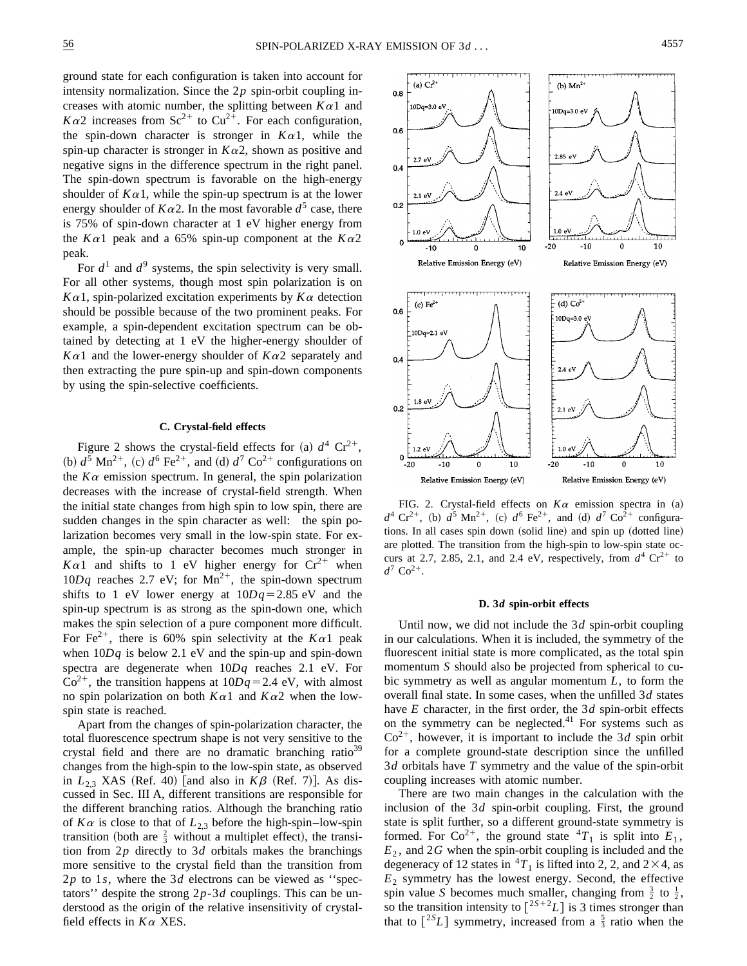intensity normalization. Since the 2*p* spin-orbit coupling increases with atomic number, the splitting between  $K\alpha_1$  and  $K\alpha$ 2 increases from Sc<sup>2+</sup> to Cu<sup>2+</sup>. For each configuration, the spin-down character is stronger in  $K\alpha$ 1, while the spin-up character is stronger in  $K\alpha$ 2, shown as positive and negative signs in the difference spectrum in the right panel. The spin-down spectrum is favorable on the high-energy shoulder of  $K\alpha 1$ , while the spin-up spectrum is at the lower energy shoulder of  $K\alpha$ 2. In the most favorable  $d^5$  case, there is 75% of spin-down character at 1 eV higher energy from the  $K\alpha$ 1 peak and a 65% spin-up component at the  $K\alpha$ 2 peak.

For  $d^1$  and  $d^9$  systems, the spin selectivity is very small. For all other systems, though most spin polarization is on  $K\alpha$ 1, spin-polarized excitation experiments by  $K\alpha$  detection should be possible because of the two prominent peaks. For example, a spin-dependent excitation spectrum can be obtained by detecting at 1 eV the higher-energy shoulder of  $K\alpha$ 1 and the lower-energy shoulder of  $K\alpha$ 2 separately and then extracting the pure spin-up and spin-down components by using the spin-selective coefficients.

#### **C. Crystal-field effects**

Figure 2 shows the crystal-field effects for (a)  $d^4$  Cr<sup>2+</sup>, (b)  $d^5$  Mn<sup>2+</sup>, (c)  $d^6$  Fe<sup>2+</sup>, and (d)  $d^7$  Co<sup>2+</sup> configurations on the  $K\alpha$  emission spectrum. In general, the spin polarization decreases with the increase of crystal-field strength. When the initial state changes from high spin to low spin, there are sudden changes in the spin character as well: the spin polarization becomes very small in the low-spin state. For example, the spin-up character becomes much stronger in  $K\alpha$ 1 and shifts to 1 eV higher energy for  $Cr^{2+}$  when  $10Dq$  reaches 2.7 eV; for Mn<sup>2+</sup>, the spin-down spectrum shifts to 1 eV lower energy at  $10Dq=2.85$  eV and the spin-up spectrum is as strong as the spin-down one, which makes the spin selection of a pure component more difficult. For Fe<sup>2+</sup>, there is 60% spin selectivity at the  $K\alpha$ 1 peak when  $10Dq$  is below 2.1 eV and the spin-up and spin-down spectra are degenerate when 10*Dq* reaches 2.1 eV. For  $Co<sup>2+</sup>$ , the transition happens at  $10Dq = 2.4$  eV, with almost no spin polarization on both  $K\alpha$ 1 and  $K\alpha$ 2 when the lowspin state is reached.

Apart from the changes of spin-polarization character, the total fluorescence spectrum shape is not very sensitive to the crystal field and there are no dramatic branching ratio<sup>39</sup> changes from the high-spin to the low-spin state, as observed in  $L_{2,3}$  XAS (Ref. 40) [and also in  $K\beta$  (Ref. 7)]. As discussed in Sec. III A, different transitions are responsible for the different branching ratios. Although the branching ratio of  $K\alpha$  is close to that of  $L_{2,3}$  before the high-spin–low-spin transition (both are  $\frac{2}{3}$  without a multiplet effect), the transition from 2*p* directly to 3*d* orbitals makes the branchings more sensitive to the crystal field than the transition from 2*p* to 1*s*, where the 3*d* electrons can be viewed as ''spectators'' despite the strong 2*p*-3*d* couplings. This can be understood as the origin of the relative insensitivity of crystalfield effects in  $K\alpha$  XES.



FIG. 2. Crystal-field effects on  $K\alpha$  emission spectra in (a)  $d^4$  Cr<sup>2+</sup>, (b)  $d^5$  Mn<sup>2+</sup>, (c)  $d^6$  Fe<sup>2+</sup>, and (d)  $d^7$  Co<sup>2+</sup> configurations. In all cases spin down (solid line) and spin up (dotted line) are plotted. The transition from the high-spin to low-spin state occurs at 2.7, 2.85, 2.1, and 2.4 eV, respectively, from  $d^4$  Cr<sup>2+</sup> to  $d^7$  Co<sup>2+</sup>.

#### **D. 3***d* **spin-orbit effects**

Until now, we did not include the 3*d* spin-orbit coupling in our calculations. When it is included, the symmetry of the fluorescent initial state is more complicated, as the total spin momentum *S* should also be projected from spherical to cubic symmetry as well as angular momentum *L*, to form the overall final state. In some cases, when the unfilled 3*d* states have *E* character, in the first order, the 3*d* spin-orbit effects on the symmetry can be neglected. $41$  For systems such as  $Co<sup>2+</sup>$ , however, it is important to include the 3*d* spin orbit for a complete ground-state description since the unfilled 3*d* orbitals have *T* symmetry and the value of the spin-orbit coupling increases with atomic number.

There are two main changes in the calculation with the inclusion of the 3*d* spin-orbit coupling. First, the ground state is split further, so a different ground-state symmetry is formed. For  $Co^{2+}$ , the ground state  ${}^{4}T_1$  is split into  $E_1$ ,  $E_2$ , and 2*G* when the spin-orbit coupling is included and the degeneracy of 12 states in  ${}^{4}T_1$  is lifted into 2, 2, and 2×4, as  $E_2$  symmetry has the lowest energy. Second, the effective spin value *S* becomes much smaller, changing from  $\frac{3}{2}$  to  $\frac{1}{2}$ , so the transition intensity to  $\left[\begin{smallmatrix} 2S+2 & 1 \end{smallmatrix}\right]$  is 3 times stronger than that to  $[^{2S}L]$  symmetry, increased from a  $\frac{5}{3}$  ratio when the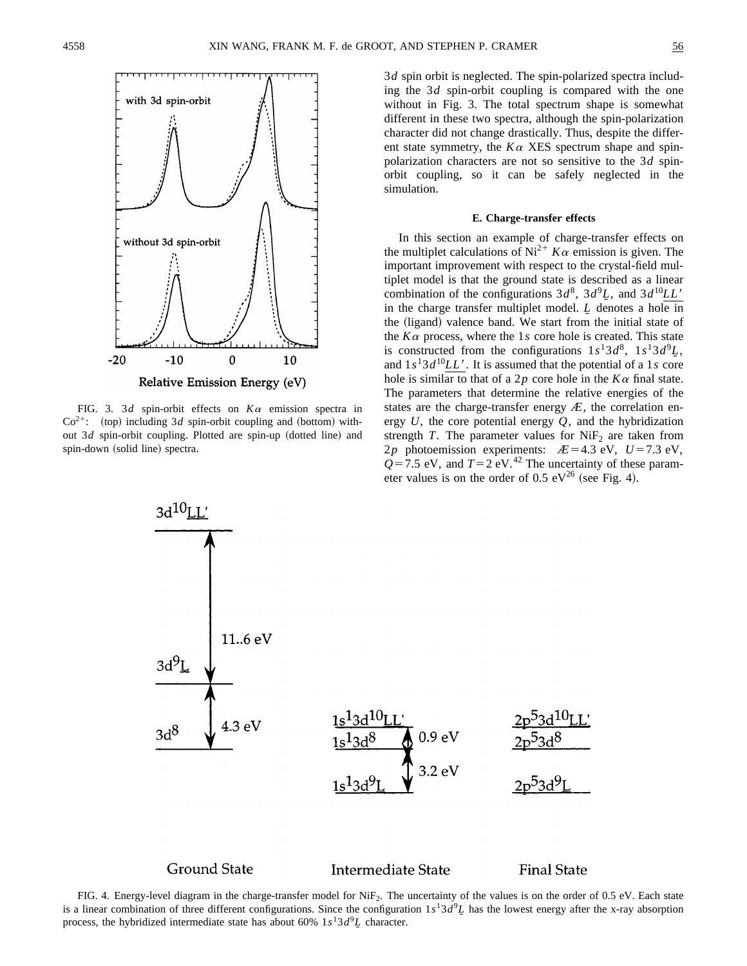

FIG. 3. 3*d* spin-orbit effects on *K*<sup>a</sup> emission spectra in  $Co<sup>2+</sup>$ : (top) including 3*d* spin-orbit coupling and (bottom) without 3*d* spin-orbit coupling. Plotted are spin-up (dotted line) and spin-down (solid line) spectra.

3*d* spin orbit is neglected. The spin-polarized spectra including the 3*d* spin-orbit coupling is compared with the one without in Fig. 3. The total spectrum shape is somewhat different in these two spectra, although the spin-polarization character did not change drastically. Thus, despite the different state symmetry, the  $K\alpha$  XES spectrum shape and spinpolarization characters are not so sensitive to the 3*d* spinorbit coupling, so it can be safely neglected in the simulation.

#### **E. Charge-transfer effects**

In this section an example of charge-transfer effects on the multiplet calculations of Ni<sup>2+</sup>  $K\alpha$  emission is given. The important improvement with respect to the crystal-field multiplet model is that the ground state is described as a linear combination of the configurations  $3d^8$ ,  $3d^9L$ , and  $3d^{10}LL'$ in the charge transfer multiplet model. *L* denotes a hole in the (ligand) valence band. We start from the initial state of the  $K\alpha$  process, where the 1*s* core hole is created. This state is constructed from the configurations  $1s^13d^8$ ,  $1s^13d^9L$ , and  $1s<sup>1</sup>3d<sup>10</sup>LL'$ . It is assumed that the potential of a 1*s* core hole is similar to that of a 2p core hole in the  $K\alpha$  final state. The parameters that determine the relative energies of the states are the charge-transfer energy  $E$ , the correlation energy *U*, the core potential energy *Q*, and the hybridization strength *T*. The parameter values for  $NiF<sub>2</sub>$  are taken from 2*p* photoemission experiments:  $AE = 4.3$  eV,  $U = 7.3$  eV,  $Q=7.5$  eV, and  $T=2$  eV.<sup>42</sup> The uncertainty of these parameter values is on the order of 0.5  $eV^{26}$  (see Fig. 4).



FIG. 4. Energy-level diagram in the charge-transfer model for  $NiF<sub>2</sub>$ . The uncertainty of the values is on the order of 0.5 eV. Each state is a linear combination of three different configurations. Since the configuration  $1s^13d^9L$  has the lowest energy after the x-ray absorption process, the hybridized intermediate state has about 60%  $1s<sup>1</sup>3d<sup>9</sup>L$  character.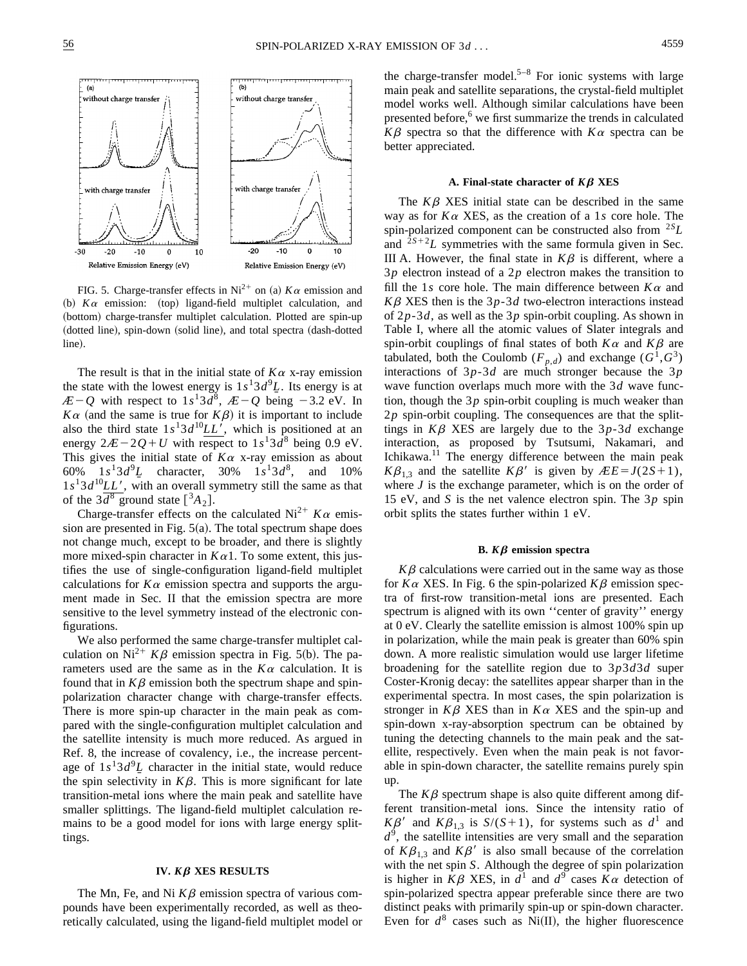

FIG. 5. Charge-transfer effects in Ni<sup>2+</sup> on (a)  $K\alpha$  emission and (b)  $K\alpha$  emission: (top) ligand-field multiplet calculation, and (bottom) charge-transfer multiplet calculation. Plotted are spin-up (dotted line), spin-down (solid line), and total spectra (dash-dotted line).

The result is that in the initial state of  $K\alpha$  x-ray emission the state with the lowest energy is  $1s^13d^9L$ . Its energy is at  $E-Q$  with respect to  $1s^13d^8$ ,  $E-Q$  being  $-3.2$  eV. In  $K\alpha$  (and the same is true for  $K\beta$ ) it is important to include also the third state  $1s<sup>1</sup>3d<sup>10</sup>LL'$ , which is positioned at an energy  $2\mathcal{A} - 2\mathcal{Q} + U$  with respect to  $1s^13d^8$  being 0.9 eV. This gives the initial state of  $K\alpha$  x-ray emission as about 60%  $1s^13d^9L$  character, 30%  $1s^13d^8$ , and 10%  $1s<sup>1</sup>3d<sup>10</sup>LL'$ , with an overall symmetry still the same as that of the  $3\overline{d}^8$  ground state  $\binom{3}{4}$ .

Charge-transfer effects on the calculated Ni<sup>2+</sup>  $K\alpha$  emission are presented in Fig.  $5(a)$ . The total spectrum shape does not change much, except to be broader, and there is slightly more mixed-spin character in  $K\alpha$ 1. To some extent, this justifies the use of single-configuration ligand-field multiplet calculations for  $K\alpha$  emission spectra and supports the argument made in Sec. II that the emission spectra are more sensitive to the level symmetry instead of the electronic configurations.

We also performed the same charge-transfer multiplet calculation on Ni<sup>2+</sup>  $K\beta$  emission spectra in Fig. 5(b). The parameters used are the same as in the  $K\alpha$  calculation. It is found that in  $K\beta$  emission both the spectrum shape and spinpolarization character change with charge-transfer effects. There is more spin-up character in the main peak as compared with the single-configuration multiplet calculation and the satellite intensity is much more reduced. As argued in Ref. 8, the increase of covalency, i.e., the increase percentage of  $1s^13d^9L$  character in the initial state, would reduce the spin selectivity in  $K\beta$ . This is more significant for late transition-metal ions where the main peak and satellite have smaller splittings. The ligand-field multiplet calculation remains to be a good model for ions with large energy splittings.

## **IV.**  $K\beta$  **XES RESULTS**

The Mn, Fe, and Ni  $K\beta$  emission spectra of various compounds have been experimentally recorded, as well as theoretically calculated, using the ligand-field multiplet model or the charge-transfer model.<sup>5–8</sup> For ionic systems with large main peak and satellite separations, the crystal-field multiplet model works well. Although similar calculations have been presented before, $6 \text{ we first summarize the trends in calculated}$  $K\beta$  spectra so that the difference with  $K\alpha$  spectra can be better appreciated.

#### A. Final-state character of  $K\beta$  **XES**

The  $K\beta$  XES initial state can be described in the same way as for  $K\alpha$  XES, as the creation of a 1*s* core hole. The spin-polarized component can be constructed also from <sup>2</sup>*SL* and  $2s+2L$  symmetries with the same formula given in Sec. III A. However, the final state in  $K\beta$  is different, where a 3*p* electron instead of a 2*p* electron makes the transition to fill the 1*s* core hole. The main difference between  $K\alpha$  and  $K\beta$  XES then is the 3*p*-3*d* two-electron interactions instead of 2*p*-3*d*, as well as the 3*p* spin-orbit coupling. As shown in Table I, where all the atomic values of Slater integrals and spin-orbit couplings of final states of both  $K\alpha$  and  $K\beta$  are tabulated, both the Coulomb ( $F_{p,d}$ ) and exchange ( $G^1, G^3$ ) interactions of 3*p*-3*d* are much stronger because the 3*p* wave function overlaps much more with the 3*d* wave function, though the 3*p* spin-orbit coupling is much weaker than 2*p* spin-orbit coupling. The consequences are that the splittings in  $K\beta$  XES are largely due to the  $3p-3d$  exchange interaction, as proposed by Tsutsumi, Nakamari, and Ichikawa. $11$  The energy difference between the main peak  $K\beta_{13}$  and the satellite  $K\beta'$  is given by  $\angle E = J(2S+1)$ , where *J* is the exchange parameter, which is on the order of 15 eV, and *S* is the net valence electron spin. The 3*p* spin orbit splits the states further within 1 eV.

## **B.**  $K\beta$  emission spectra

 $K\beta$  calculations were carried out in the same way as those for  $K\alpha$  XES. In Fig. 6 the spin-polarized  $K\beta$  emission spectra of first-row transition-metal ions are presented. Each spectrum is aligned with its own ''center of gravity'' energy at 0 eV. Clearly the satellite emission is almost 100% spin up in polarization, while the main peak is greater than 60% spin down. A more realistic simulation would use larger lifetime broadening for the satellite region due to 3*p*3*d*3*d* super Coster-Kronig decay: the satellites appear sharper than in the experimental spectra. In most cases, the spin polarization is stronger in  $K\beta$  XES than in  $K\alpha$  XES and the spin-up and spin-down x-ray-absorption spectrum can be obtained by tuning the detecting channels to the main peak and the satellite, respectively. Even when the main peak is not favorable in spin-down character, the satellite remains purely spin up.

The  $K\beta$  spectrum shape is also quite different among different transition-metal ions. Since the intensity ratio of  $K\beta'$  and  $K\beta_{1,3}$  is  $S/(S+1)$ , for systems such as  $d^1$  and  $d^9$ , the satellite intensities are very small and the separation of  $K\beta_{1,3}$  and  $K\beta'$  is also small because of the correlation with the net spin *S*. Although the degree of spin polarization is higher in  $K\beta$  XES, in  $d^1$  and  $d^9$  cases  $K\alpha$  detection of spin-polarized spectra appear preferable since there are two distinct peaks with primarily spin-up or spin-down character. Even for  $d^8$  cases such as Ni(II), the higher fluorescence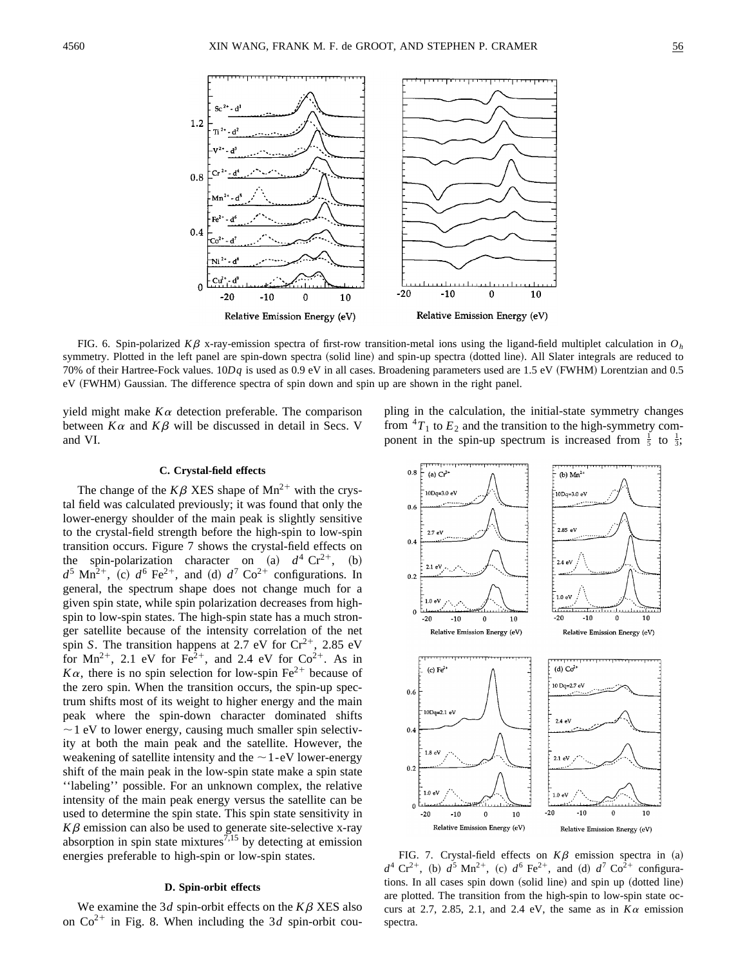

FIG. 6. Spin-polarized  $K\beta$  x-ray-emission spectra of first-row transition-metal ions using the ligand-field multiplet calculation in  $O<sub>h</sub>$ symmetry. Plotted in the left panel are spin-down spectra (solid line) and spin-up spectra (dotted line). All Slater integrals are reduced to 70% of their Hartree-Fock values.  $10Dq$  is used as 0.9 eV in all cases. Broadening parameters used are 1.5 eV (FWHM) Lorentzian and 0.5 eV (FWHM) Gaussian. The difference spectra of spin down and spin up are shown in the right panel.

yield might make  $K\alpha$  detection preferable. The comparison between  $K\alpha$  and  $K\beta$  will be discussed in detail in Secs. V and VI.

pling in the calculation, the initial-state symmetry changes from  ${}^{4}T_{1}$  to  $E_{2}$  and the transition to the high-symmetry component in the spin-up spectrum is increased from  $\frac{1}{5}$  to  $\frac{1}{3}$ ;

# **C. Crystal-field effects**

The change of the  $K\beta$  XES shape of Mn<sup>2+</sup> with the crystal field was calculated previously; it was found that only the lower-energy shoulder of the main peak is slightly sensitive to the crystal-field strength before the high-spin to low-spin transition occurs. Figure 7 shows the crystal-field effects on the spin-polarization character on  $(a)$   $d^4$  Cr<sup>2+</sup>,  $(b)$  $d^5$  Mn<sup>2+</sup>, (c)  $d^6$  Fe<sup>2+</sup>, and (d)  $d^7$  Co<sup>2+</sup> configurations. In general, the spectrum shape does not change much for a given spin state, while spin polarization decreases from highspin to low-spin states. The high-spin state has a much stronger satellite because of the intensity correlation of the net spin *S*. The transition happens at 2.7 eV for  $Cr^{2+}$ , 2.85 eV for  $Mn^{2+}$ , 2.1 eV for  $Fe^{2+}$ , and 2.4 eV for  $Co^{2+}$ . As in  $K\alpha$ , there is no spin selection for low-spin Fe<sup>2+</sup> because of the zero spin. When the transition occurs, the spin-up spectrum shifts most of its weight to higher energy and the main peak where the spin-down character dominated shifts  $\sim$  1 eV to lower energy, causing much smaller spin selectivity at both the main peak and the satellite. However, the weakening of satellite intensity and the  $\sim$  1-eV lower-energy shift of the main peak in the low-spin state make a spin state ''labeling'' possible. For an unknown complex, the relative intensity of the main peak energy versus the satellite can be used to determine the spin state. This spin state sensitivity in  $K\beta$  emission can also be used to generate site-selective x-ray absorption in spin state mixtures<sup>7,15</sup> by detecting at emission energies preferable to high-spin or low-spin states.

# **D. Spin-orbit effects**

We examine the 3*d* spin-orbit effects on the  $K\beta$  XES also on  $Co^{2+}$  in Fig. 8. When including the 3*d* spin-orbit cou-



FIG. 7. Crystal-field effects on  $K\beta$  emission spectra in (a)  $d^4$  Cr<sup>2+</sup>, (b)  $d^5$  Mn<sup>2+</sup>, (c)  $d^6$  Fe<sup>2+</sup>, and (d)  $d^7$  Co<sup>2+</sup> configurations. In all cases spin down  $\alpha$  (solid line) and spin up  $\alpha$  (dotted line) are plotted. The transition from the high-spin to low-spin state occurs at 2.7, 2.85, 2.1, and 2.4 eV, the same as in  $K\alpha$  emission spectra.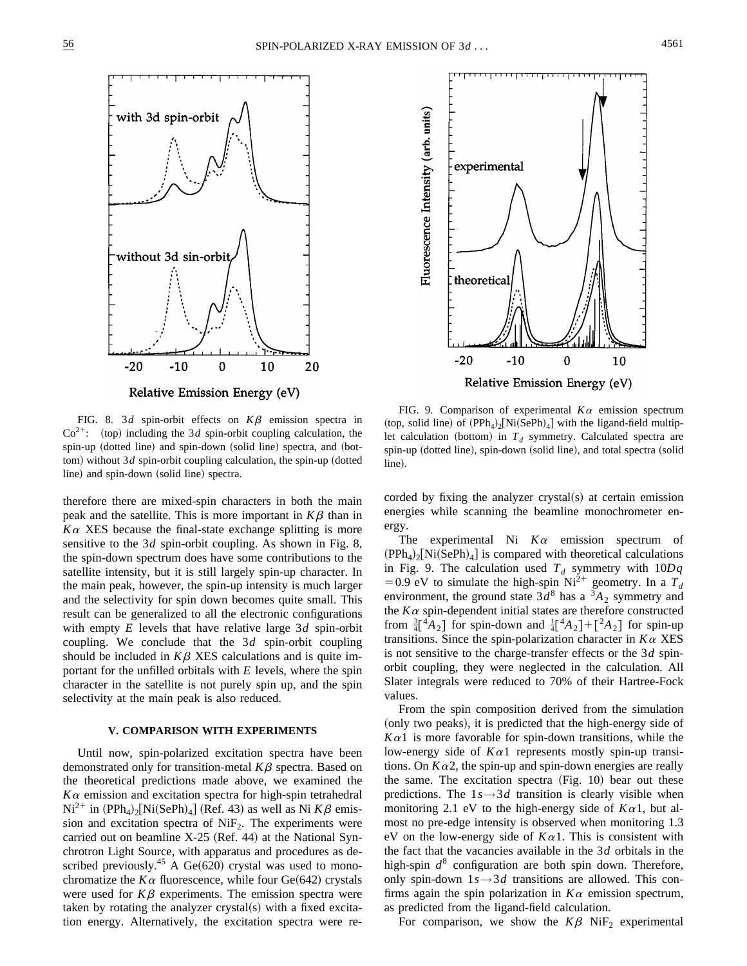



FIG. 8. 3*d* spin-orbit effects on  $K\beta$  emission spectra in  $Co<sup>2+</sup>$ : (top) including the 3*d* spin-orbit coupling calculation, the spin-up (dotted line) and spin-down (solid line) spectra, and (bottom) without  $3d$  spin-orbit coupling calculation, the spin-up (dotted line) and spin-down (solid line) spectra.

therefore there are mixed-spin characters in both the main peak and the satellite. This is more important in  $K\beta$  than in  $K\alpha$  XES because the final-state exchange splitting is more sensitive to the 3*d* spin-orbit coupling. As shown in Fig. 8, the spin-down spectrum does have some contributions to the satellite intensity, but it is still largely spin-up character. In the main peak, however, the spin-up intensity is much larger and the selectivity for spin down becomes quite small. This result can be generalized to all the electronic configurations with empty *E* levels that have relative large 3*d* spin-orbit coupling. We conclude that the 3*d* spin-orbit coupling should be included in  $K\beta$  XES calculations and is quite important for the unfilled orbitals with *E* levels, where the spin character in the satellite is not purely spin up, and the spin selectivity at the main peak is also reduced.

# **V. COMPARISON WITH EXPERIMENTS**

Until now, spin-polarized excitation spectra have been demonstrated only for transition-metal  $K\beta$  spectra. Based on the theoretical predictions made above, we examined the  $K\alpha$  emission and excitation spectra for high-spin tetrahedral  $Ni^{2+}$  in  $(PPh_4)_2[Ni(SePh)_4]$  (Ref. 43) as well as Ni  $K\beta$  emission and excitation spectra of  $NiF<sub>2</sub>$ . The experiments were carried out on beamline  $X-25$  (Ref. 44) at the National Synchrotron Light Source, with apparatus and procedures as described previously.<sup>45</sup> A Ge $(620)$  crystal was used to monochromatize the  $K\alpha$  fluorescence, while four Ge(642) crystals were used for  $K\beta$  experiments. The emission spectra were taken by rotating the analyzer crystal(s) with a fixed excitation energy. Alternatively, the excitation spectra were re-

FIG. 9. Comparison of experimental  $K\alpha$  emission spectrum (top, solid line) of  $(PPh_4)_2[Ni(SePh)_4]$  with the ligand-field multiplet calculation (bottom) in  $T<sub>d</sub>$  symmetry. Calculated spectra are spin-up (dotted line), spin-down (solid line), and total spectra (solid line).

corded by fixing the analyzer crystal $(s)$  at certain emission energies while scanning the beamline monochrometer energy.

The experimental Ni  $K\alpha$  emission spectrum of  $(PPh_4)_2[Ni(SePh)_4]$  is compared with theoretical calculations in Fig. 9. The calculation used  $T<sub>d</sub>$  symmetry with  $10Dq$ = 0.9 eV to simulate the high-spin Ni<sup>2+</sup> geometry. In a  $T_d$ environment, the ground state  $3d^8$  has a  $^3A_2$  symmetry and the  $K\alpha$  spin-dependent initial states are therefore constructed from  $\frac{3}{4}[^{4}A_{2}]$  for spin-down and  $\frac{1}{4}[^{4}A_{2}] + [{}^{2}A_{2}]$  for spin-up transitions. Since the spin-polarization character in  $K\alpha$  XES is not sensitive to the charge-transfer effects or the 3*d* spinorbit coupling, they were neglected in the calculation. All Slater integrals were reduced to 70% of their Hartree-Fock values.

From the spin composition derived from the simulation (only two peaks), it is predicted that the high-energy side of  $K\alpha$ 1 is more favorable for spin-down transitions, while the low-energy side of  $K\alpha 1$  represents mostly spin-up transitions. On  $K\alpha$ 2, the spin-up and spin-down energies are really the same. The excitation spectra  $(Fig. 10)$  bear out these predictions. The  $1s \rightarrow 3d$  transition is clearly visible when monitoring 2.1 eV to the high-energy side of  $K\alpha$ 1, but almost no pre-edge intensity is observed when monitoring 1.3 eV on the low-energy side of  $K\alpha$ 1. This is consistent with the fact that the vacancies available in the 3*d* orbitals in the high-spin  $d^8$  configuration are both spin down. Therefore, only spin-down  $1s \rightarrow 3d$  transitions are allowed. This confirms again the spin polarization in  $K\alpha$  emission spectrum, as predicted from the ligand-field calculation.

For comparison, we show the  $K\beta$  NiF<sub>2</sub> experimental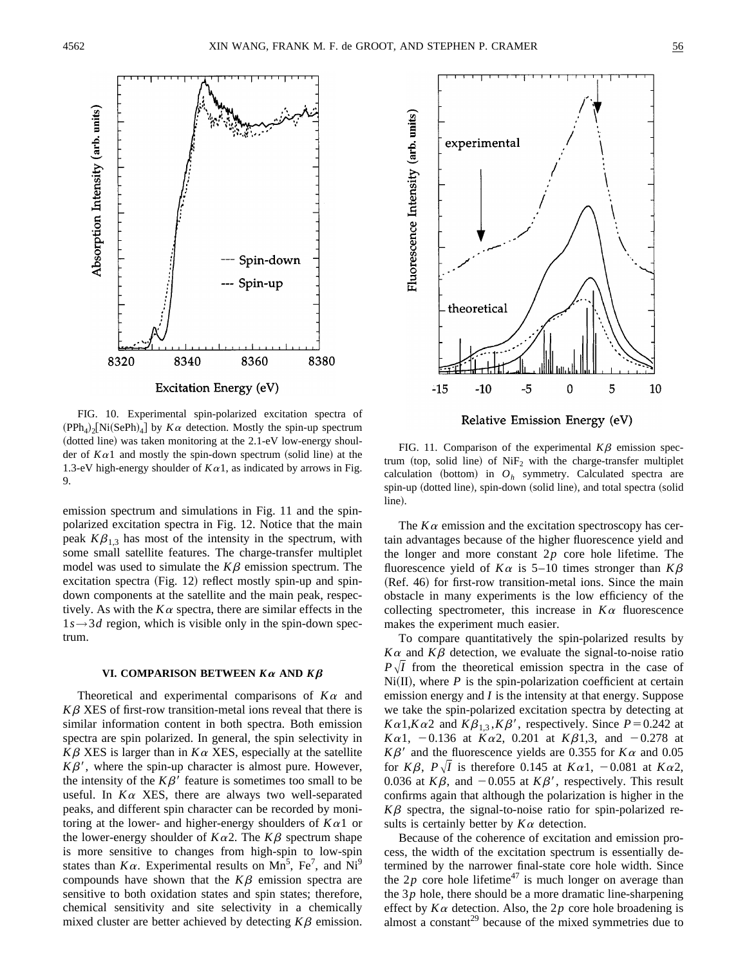

FIG. 10. Experimental spin-polarized excitation spectra of  $(PPh_4)_{2}$ [Ni(SePh)<sub>4</sub>] by  $K\alpha$  detection. Mostly the spin-up spectrum  $(doted line)$  was taken monitoring at the 2.1-eV low-energy shoulder of  $K\alpha$ 1 and mostly the spin-down spectrum (solid line) at the 1.3-eV high-energy shoulder of  $K\alpha$ 1, as indicated by arrows in Fig. 9.

emission spectrum and simulations in Fig. 11 and the spinpolarized excitation spectra in Fig. 12. Notice that the main peak  $K\beta_{13}$  has most of the intensity in the spectrum, with some small satellite features. The charge-transfer multiplet model was used to simulate the  $K\beta$  emission spectrum. The excitation spectra  $(Fig. 12)$  reflect mostly spin-up and spindown components at the satellite and the main peak, respectively. As with the  $K\alpha$  spectra, there are similar effects in the  $1s \rightarrow 3d$  region, which is visible only in the spin-down spectrum.

#### VI. COMPARISON BETWEEN  $K\alpha$  AND  $K\beta$

Theoretical and experimental comparisons of  $K\alpha$  and  $K\beta$  XES of first-row transition-metal ions reveal that there is similar information content in both spectra. Both emission spectra are spin polarized. In general, the spin selectivity in  $K\beta$  XES is larger than in  $K\alpha$  XES, especially at the satellite  $K\beta'$ , where the spin-up character is almost pure. However, the intensity of the  $K\beta'$  feature is sometimes too small to be useful. In  $K\alpha$  XES, there are always two well-separated peaks, and different spin character can be recorded by monitoring at the lower- and higher-energy shoulders of  $K\alpha 1$  or the lower-energy shoulder of  $K\alpha$ 2. The  $K\beta$  spectrum shape is more sensitive to changes from high-spin to low-spin states than  $K\alpha$ . Experimental results on Mn<sup>5</sup>, Fe<sup>7</sup>, and Ni<sup>9</sup> compounds have shown that the  $K\beta$  emission spectra are sensitive to both oxidation states and spin states; therefore, chemical sensitivity and site selectivity in a chemically mixed cluster are better achieved by detecting  $K\beta$  emission.



Relative Emission Energy (eV)

FIG. 11. Comparison of the experimental  $K\beta$  emission spectrum (top, solid line) of  $NiF<sub>2</sub>$  with the charge-transfer multiplet calculation (bottom) in  $O_h$  symmetry. Calculated spectra are spin-up (dotted line), spin-down (solid line), and total spectra (solid line).

The  $K\alpha$  emission and the excitation spectroscopy has certain advantages because of the higher fluorescence yield and the longer and more constant 2*p* core hole lifetime. The fluorescence yield of  $K\alpha$  is 5–10 times stronger than  $K\beta$  $(Ref. 46)$  for first-row transition-metal ions. Since the main obstacle in many experiments is the low efficiency of the collecting spectrometer, this increase in  $K\alpha$  fluorescence makes the experiment much easier.

To compare quantitatively the spin-polarized results by  $K\alpha$  and  $K\beta$  detection, we evaluate the signal-to-noise ratio  $P\sqrt{I}$  from the theoretical emission spectra in the case of  $Ni(II)$ , where  $P$  is the spin-polarization coefficient at certain emission energy and *I* is the intensity at that energy. Suppose we take the spin-polarized excitation spectra by detecting at  $K\alpha 1, K\alpha 2$  and  $K\beta_{1,3}, K\beta'$ , respectively. Since  $P=0.242$  at *K* $\alpha$ 1, -0.136 at *K* $\alpha$ 2, 0.201 at *K* $\beta$ 1,3, and -0.278 at  $K\beta'$  and the fluorescence yields are 0.355 for  $K\alpha$  and 0.05 for *K* $\beta$ , *P* $\sqrt{I}$  is therefore 0.145 at *K* $\alpha$ 1, -0.081 at *K* $\alpha$ 2, 0.036 at  $K\beta$ , and  $-0.055$  at  $K\beta'$ , respectively. This result confirms again that although the polarization is higher in the  $K\beta$  spectra, the signal-to-noise ratio for spin-polarized results is certainly better by  $K\alpha$  detection.

Because of the coherence of excitation and emission process, the width of the excitation spectrum is essentially determined by the narrower final-state core hole width. Since the  $2p$  core hole lifetime<sup>47</sup> is much longer on average than the 3*p* hole, there should be a more dramatic line-sharpening effect by  $K\alpha$  detection. Also, the 2p core hole broadening is almost a constant<sup>29</sup> because of the mixed symmetries due to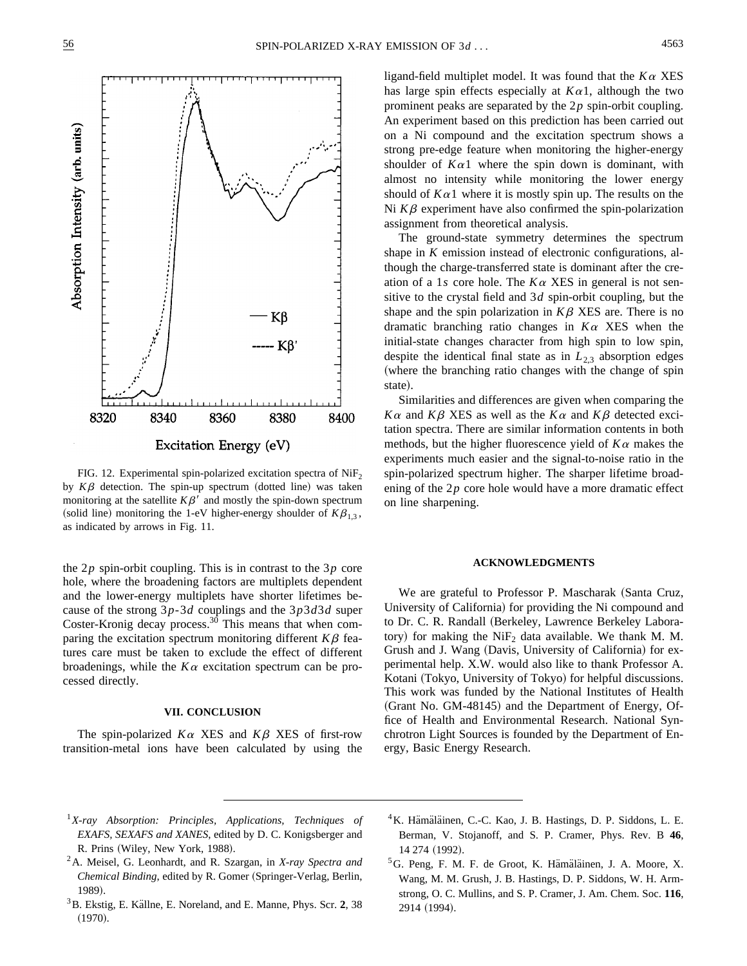

FIG. 12. Experimental spin-polarized excitation spectra of  $NiF<sub>2</sub>$ by  $K\beta$  detection. The spin-up spectrum (dotted line) was taken monitoring at the satellite  $K\beta'$  and mostly the spin-down spectrum (solid line) monitoring the 1-eV higher-energy shoulder of  $K\beta_{1,3}$ , as indicated by arrows in Fig. 11.

the 2*p* spin-orbit coupling. This is in contrast to the 3*p* core hole, where the broadening factors are multiplets dependent and the lower-energy multiplets have shorter lifetimes because of the strong 3*p*-3*d* couplings and the 3*p*3*d*3*d* super Coster-Kronig decay process.<sup>30</sup> This means that when comparing the excitation spectrum monitoring different  $K\beta$  features care must be taken to exclude the effect of different broadenings, while the  $K\alpha$  excitation spectrum can be processed directly.

# **VII. CONCLUSION**

The spin-polarized  $K\alpha$  XES and  $K\beta$  XES of first-row transition-metal ions have been calculated by using the ligand-field multiplet model. It was found that the  $K\alpha$  XES has large spin effects especially at  $K\alpha$ 1, although the two prominent peaks are separated by the 2*p* spin-orbit coupling. An experiment based on this prediction has been carried out on a Ni compound and the excitation spectrum shows a strong pre-edge feature when monitoring the higher-energy shoulder of  $K\alpha$ 1 where the spin down is dominant, with almost no intensity while monitoring the lower energy should of  $K\alpha$ 1 where it is mostly spin up. The results on the Ni  $K\beta$  experiment have also confirmed the spin-polarization assignment from theoretical analysis.

The ground-state symmetry determines the spectrum shape in *K* emission instead of electronic configurations, although the charge-transferred state is dominant after the creation of a 1*s* core hole. The  $K\alpha$  XES in general is not sensitive to the crystal field and 3*d* spin-orbit coupling, but the shape and the spin polarization in  $K\beta$  XES are. There is no dramatic branching ratio changes in  $K\alpha$  XES when the initial-state changes character from high spin to low spin, despite the identical final state as in  $L_{2,3}$  absorption edges (where the branching ratio changes with the change of spin state).

Similarities and differences are given when comparing the  $K\alpha$  and  $K\beta$  XES as well as the  $K\alpha$  and  $K\beta$  detected excitation spectra. There are similar information contents in both methods, but the higher fluorescence yield of  $K\alpha$  makes the experiments much easier and the signal-to-noise ratio in the spin-polarized spectrum higher. The sharper lifetime broadening of the 2*p* core hole would have a more dramatic effect on line sharpening.

#### **ACKNOWLEDGMENTS**

We are grateful to Professor P. Mascharak (Santa Cruz, University of California) for providing the Ni compound and to Dr. C. R. Randall (Berkeley, Lawrence Berkeley Laboratory) for making the  $NiF<sub>2</sub>$  data available. We thank M. M. Grush and J. Wang (Davis, University of California) for experimental help. X.W. would also like to thank Professor A. Kotani (Tokyo, University of Tokyo) for helpful discussions. This work was funded by the National Institutes of Health  $(Grant No. GM-48145)$  and the Department of Energy, Office of Health and Environmental Research. National Synchrotron Light Sources is founded by the Department of Energy, Basic Energy Research.

- <sup>1</sup>*X-ray Absorption: Principles, Applications, Techniques of EXAFS, SEXAFS and XANES*, edited by D. C. Konigsberger and R. Prins (Wiley, New York, 1988).
- 2A. Meisel, G. Leonhardt, and R. Szargan, in *X-ray Spectra and Chemical Binding*, edited by R. Gomer (Springer-Verlag, Berlin, 1989).
- <sup>3</sup>B. Ekstig, E. Källne, E. Noreland, and E. Manne, Phys. Scr. 2, 38  $(1970).$
- <sup>4</sup>K. Hämäläinen, C.-C. Kao, J. B. Hastings, D. P. Siddons, L. E. Berman, V. Stojanoff, and S. P. Cramer, Phys. Rev. B **46**, 14 274 (1992).

 ${}^5G$ . Peng, F. M. F. de Groot, K. Hämäläinen, J. A. Moore, X. Wang, M. M. Grush, J. B. Hastings, D. P. Siddons, W. H. Armstrong, O. C. Mullins, and S. P. Cramer, J. Am. Chem. Soc. **116**, 2914 (1994).